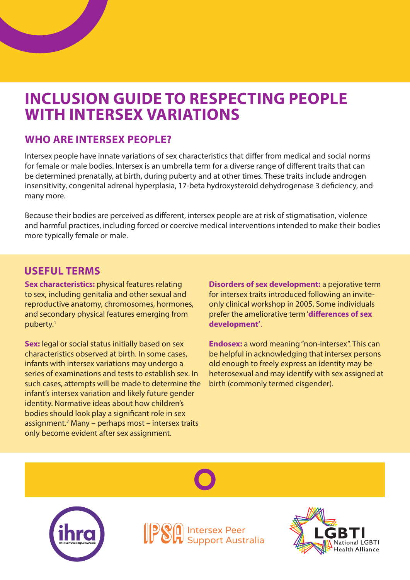# **INCLUSION GUIDE TO RESPECTING PEOPLE WITH INTERSEX VARIATIONS**

#### **WHO ARE INTERSEX PEOPLE?**

Intersex people have innate variations of sex characteristics that differ from medical and social norms for female or male bodies. Intersex is an umbrella term for a diverse range of different traits that can be determined prenatally, at birth, during puberty and at other times. These traits include androgen insensitivity, congenital adrenal hyperplasia, 17-beta hydroxysteroid dehydrogenase 3 deficiency, and many more.

Because their bodies are perceived as different, intersex people are at risk of stigmatisation, violence and harmful practices, including forced or coercive medical interventions intended to make their bodies more typically female or male.

#### **USEFUL TERMS**

**Sex characteristics:** physical features relating to sex, including genitalia and other sexual and reproductive anatomy, chromosomes, hormones, and secondary physical features emerging from puberty.1

**Sex:** legal or social status initially based on sex characteristics observed at birth. In some cases, infants with intersex variations may undergo a series of examinations and tests to establish sex. In such cases, attempts will be made to determine the infant's intersex variation and likely future gender identity. Normative ideas about how children's bodies should look play a significant role in sex assignment.<sup>2</sup> Many – perhaps most – intersex traits only become evident after sex assignment.

**Disorders of sex development:** a pejorative term for intersex traits introduced following an inviteonly clinical workshop in 2005. Some individuals prefer the ameliorative term '**differences of sex development'**.

**Endosex:** a word meaning "non-intersex". This can be helpful in acknowledging that intersex persons old enough to freely express an identity may be heterosexual and may identify with sex assigned at birth (commonly termed cisgender).





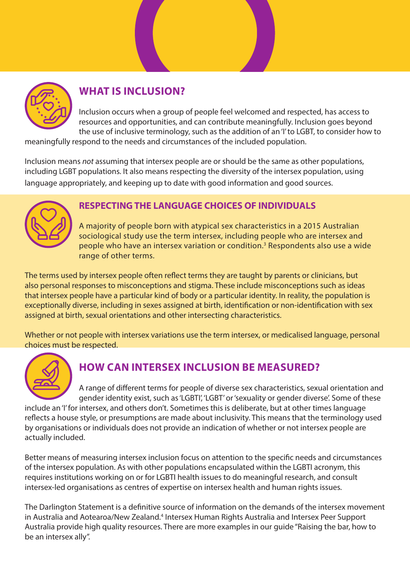

## **WHAT IS INCLUSION?**

Inclusion occurs when a group of people feel welcomed and respected, has access to resources and opportunities, and can contribute meaningfully. Inclusion goes beyond the use of inclusive terminology, such as the addition of an 'I' to LGBT, to consider how to

meaningfully respond to the needs and circumstances of the included population.

Inclusion means *not* assuming that intersex people are or should be the same as other populations, including LGBT populations. It also means respecting the diversity of the intersex population, using language appropriately, and keeping up to date with good information and good sources.



#### **RESPECTING THE LANGUAGE CHOICES OF INDIVIDUALS**

A majority of people born with atypical sex characteristics in a 2015 Australian sociological study use the term intersex, including people who are intersex and people who have an intersex variation or condition.<sup>3</sup> Respondents also use a wide range of other terms.

The terms used by intersex people often reflect terms they are taught by parents or clinicians, but also personal responses to misconceptions and stigma. These include misconceptions such as ideas that intersex people have a particular kind of body or a particular identity. In reality, the population is exceptionally diverse, including in sexes assigned at birth, identification or non-identification with sex assigned at birth, sexual orientations and other intersecting characteristics.

Whether or not people with intersex variations use the term intersex, or medicalised language, personal choices must be respected.



### **HOW CAN INTERSEX INCLUSION BE MEASURED?**

A range of different terms for people of diverse sex characteristics, sexual orientation and gender identity exist, such as 'LGBTI', 'LGBT' or 'sexuality or gender diverse'. Some of these include an 'I' for intersex, and others don't. Sometimes this is deliberate, but at other times language reflects a house style, or presumptions are made about inclusivity. This means that the terminology used by organisations or individuals does not provide an indication of whether or not intersex people are actually included.

Better means of measuring intersex inclusion focus on attention to the specific needs and circumstances of the intersex population. As with other populations encapsulated within the LGBTI acronym, this requires institutions working on or for LGBTI health issues to do meaningful research, and consult intersex-led organisations as centres of expertise on intersex health and human rights issues.

The Darlington Statement is a definitive source of information on the demands of the intersex movement in Australia and Aotearoa/New Zealand.<sup>4</sup> Intersex Human Rights Australia and Intersex Peer Support Australia provide high quality resources. There are more examples in our guide "Raising the bar, how to be an intersex ally".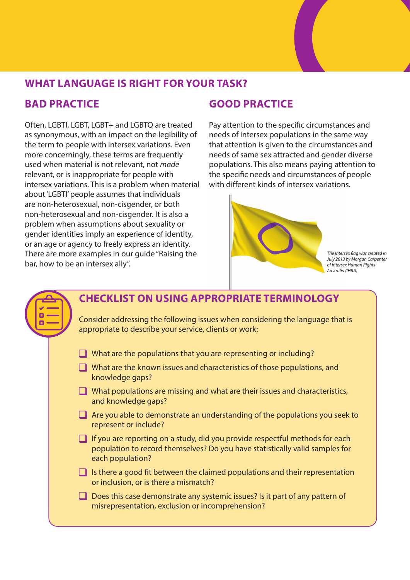

#### **WHAT LANGUAGE IS RIGHT FOR YOUR TASK?**

#### **BAD PRACTICE**

Often, LGBTI, LGBT, LGBT+ and LGBTQ are treated as synonymous, with an impact on the legibility of the term to people with intersex variations. Even more concerningly, these terms are frequently used when material is not relevant, not *made* relevant, or is inappropriate for people with intersex variations. This is a problem when material about 'LGBTI' people assumes that individuals are non-heterosexual, non-cisgender, or both non-heterosexual and non-cisgender. It is also a problem when assumptions about sexuality or gender identities imply an experience of identity, or an age or agency to freely express an identity. There are more examples in our guide "Raising the bar, how to be an intersex ally".

#### **GOOD PRACTICE**

Pay attention to the specific circumstances and needs of intersex populations in the same way that attention is given to the circumstances and needs of same sex attracted and gender diverse populations. This also means paying attention to the specific needs and circumstances of people with different kinds of intersex variations.



*The Intersex flag was created in July 2013 by Morgan Carpenter of Intersex Human Rights Australia (IHRA)*

|  | <b>CHECKLIST ON USING APPROPRIATE TERMINOLOGY</b>                                                                                                                                |
|--|----------------------------------------------------------------------------------------------------------------------------------------------------------------------------------|
|  | Consider addressing the following issues when considering the language that is<br>appropriate to describe your service, clients or work:                                         |
|  | What are the populations that you are representing or including?                                                                                                                 |
|  | $\Box$ What are the known issues and characteristics of those populations, and<br>knowledge gaps?                                                                                |
|  | What populations are missing and what are their issues and characteristics,<br>and knowledge gaps?                                                                               |
|  | Are you able to demonstrate an understanding of the populations you seek to<br>represent or include?                                                                             |
|  | If you are reporting on a study, did you provide respectful methods for each<br>population to record themselves? Do you have statistically valid samples for<br>each population? |
|  | Is there a good fit between the claimed populations and their representation<br>or inclusion, or is there a mismatch?                                                            |
|  | Does this case demonstrate any systemic issues? Is it part of any pattern of<br>misrepresentation, exclusion or incomprehension?                                                 |
|  |                                                                                                                                                                                  |